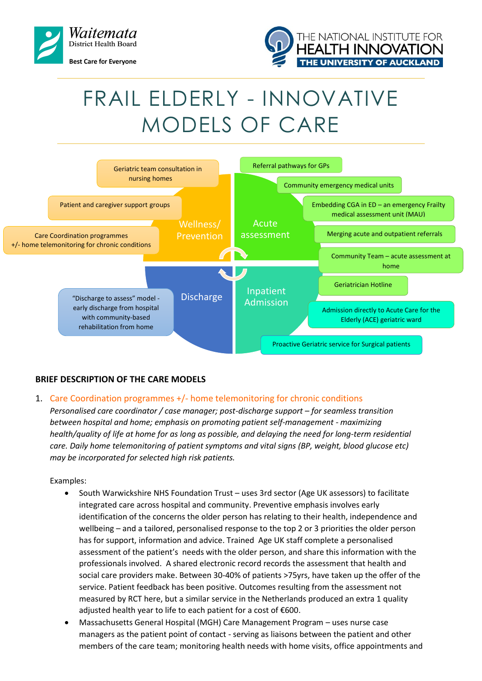



# FRAIL ELDERLY - INNOVATIVE MODELS OF CARE



## **BRIEF DESCRIPTION OF THE CARE MODELS**

#### 1. Care Coordination programmes +/- home telemonitoring for chronic conditions

*Personalised care coordinator / case manager; post-discharge support – for seamless transition between hospital and home; emphasis on promoting patient self-management - maximizing health/quality of life at home for as long as possible, and delaying the need for long-term residential care. Daily home telemonitoring of patient symptoms and vital signs (BP, weight, blood glucose etc) may be incorporated for selected high risk patients.*

- South Warwickshire NHS Foundation Trust uses 3rd sector (Age UK assessors) to facilitate integrated care across hospital and community. Preventive emphasis involves early identification of the concerns the older person has relating to their health, independence and wellbeing – and a tailored, personalised response to the top 2 or 3 priorities the older person has for support, information and advice. Trained Age UK staff complete a personalised assessment of the patient's needs with the older person, and share this information with the professionals involved. A shared electronic record records the assessment that health and social care providers make. Between 30-40% of patients >75yrs, have taken up the offer of the service. Patient feedback has been positive. Outcomes resulting from the assessment not measured by RCT here, but a similar service in the Netherlands produced an extra 1 quality adjusted health year to life to each patient for a cost of €600.
- Massachusetts General Hospital (MGH) Care Management Program uses nurse case managers as the patient point of contact - serving as liaisons between the patient and other members of the care team; monitoring health needs with home visits, office appointments and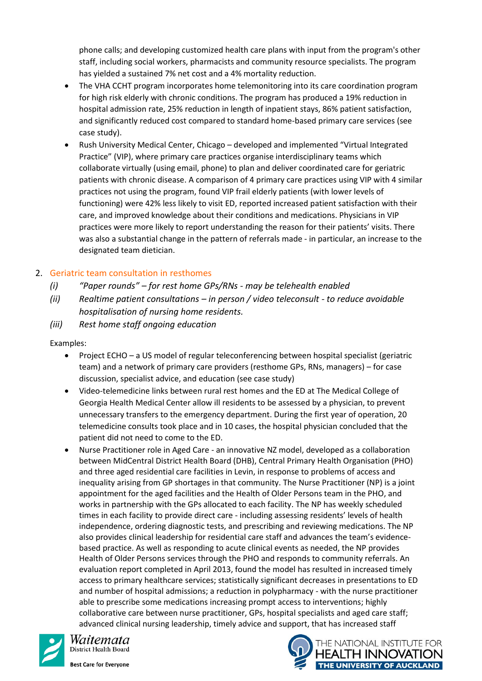phone calls; and developing customized health care plans with input from the program's other staff, including social workers, pharmacists and community resource specialists. The program has yielded a sustained 7% net cost and a 4% mortality reduction.

- The VHA CCHT program incorporates home telemonitoring into its care coordination program for high risk elderly with chronic conditions. The program has produced a 19% reduction in hospital admission rate, 25% reduction in length of inpatient stays, 86% patient satisfaction, and significantly reduced cost compared to standard home-based primary care services (see case study).
- Rush University Medical Center, Chicago developed and implemented "Virtual Integrated Practice" (VIP), where primary care practices organise interdisciplinary teams which collaborate virtually (using email, phone) to plan and deliver coordinated care for geriatric patients with chronic disease. A comparison of 4 primary care practices using VIP with 4 similar practices not using the program, found VIP frail elderly patients (with lower levels of functioning) were 42% less likely to visit ED, reported increased patient satisfaction with their care, and improved knowledge about their conditions and medications. Physicians in VIP practices were more likely to report understanding the reason for their patients' visits. There was also a substantial change in the pattern of referrals made - in particular, an increase to the designated team dietician.

## 2. Geriatric team consultation in resthomes

- *(i) "Paper rounds" – for rest home GPs/RNs - may be telehealth enabled*
- *(ii) Realtime patient consultations – in person / video teleconsult - to reduce avoidable hospitalisation of nursing home residents.*
- *(iii) Rest home staff ongoing education*

Examples:

- Project ECHO a US model of regular teleconferencing between hospital specialist (geriatric team) and a network of primary care providers (resthome GPs, RNs, managers) – for case discussion, specialist advice, and education (see case study)
- Video-telemedicine links between rural rest homes and the ED at The Medical College of Georgia Health Medical Center allow ill residents to be assessed by a physician, to prevent unnecessary transfers to the emergency department. During the first year of operation, 20 telemedicine consults took place and in 10 cases, the hospital physician concluded that the patient did not need to come to the ED.
- Nurse Practitioner role in Aged Care an innovative NZ model, developed as a collaboration between MidCentral District Health Board (DHB), Central Primary Health Organisation (PHO) and three aged residential care facilities in Levin, in response to problems of access and inequality arising from GP shortages in that community. The Nurse Practitioner (NP) is a joint appointment for the aged facilities and the Health of Older Persons team in the PHO, and works in partnership with the GPs allocated to each facility. The NP has weekly scheduled times in each facility to provide direct care - including assessing residents' levels of health independence, ordering diagnostic tests, and prescribing and reviewing medications. The NP also provides clinical leadership for residential care staff and advances the team's evidencebased practice. As well as responding to acute clinical events as needed, the NP provides Health of Older Persons services through the PHO and responds to community referrals. An evaluation report completed in April 2013, found the model has resulted in increased timely access to primary healthcare services; statistically significant decreases in presentations to ED and number of hospital admissions; a reduction in polypharmacy - with the nurse practitioner able to prescribe some medications increasing prompt access to interventions; highly collaborative care between nurse practitioner, GPs, hospital specialists and aged care staff; advanced clinical nursing leadership, timely advice and support, that has increased staff



Waitemata District Health Board

**Best Care for Evervone** 

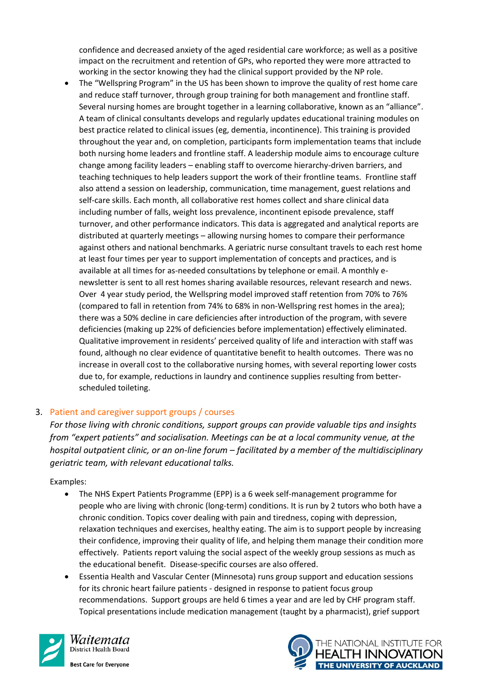confidence and decreased anxiety of the aged residential care workforce; as well as a positive impact on the recruitment and retention of GPs, who reported they were more attracted to working in the sector knowing they had the clinical support provided by the NP role.

 The "Wellspring Program" in the US has been shown to improve the quality of rest home care and reduce staff turnover, through group training for both management and frontline staff. Several nursing homes are brought together in a learning collaborative, known as an "alliance". A team of clinical consultants develops and regularly updates educational training modules on best practice related to clinical issues (eg, dementia, incontinence). This training is provided throughout the year and, on completion, participants form implementation teams that include both nursing home leaders and frontline staff. A leadership module aims to encourage culture change among facility leaders – enabling staff to overcome hierarchy-driven barriers, and teaching techniques to help leaders support the work of their frontline teams. Frontline staff also attend a session on leadership, communication, time management, guest relations and self-care skills. Each month, all collaborative rest homes collect and share clinical data including number of falls, weight loss prevalence, incontinent episode prevalence, staff turnover, and other performance indicators. This data is aggregated and analytical reports are distributed at quarterly meetings – allowing nursing homes to compare their performance against others and national benchmarks. A geriatric nurse consultant travels to each rest home at least four times per year to support implementation of concepts and practices, and is available at all times for as-needed consultations by telephone or email. A monthly enewsletter is sent to all rest homes sharing available resources, relevant research and news. Over 4 year study period, the Wellspring model improved staff retention from 70% to 76% (compared to fall in retention from 74% to 68% in non-Wellspring rest homes in the area); there was a 50% decline in care deficiencies after introduction of the program, with severe deficiencies (making up 22% of deficiencies before implementation) effectively eliminated. Qualitative improvement in residents' perceived quality of life and interaction with staff was found, although no clear evidence of quantitative benefit to health outcomes. There was no increase in overall cost to the collaborative nursing homes, with several reporting lower costs due to, for example, reductions in laundry and continence supplies resulting from betterscheduled toileting.

## 3. Patient and caregiver support groups / courses

*For those living with chronic conditions, support groups can provide valuable tips and insights from "expert patients" and socialisation. Meetings can be at a local community venue, at the hospital outpatient clinic, or an on-line forum – facilitated by a member of the multidisciplinary geriatric team, with relevant educational talks.*

- The NHS Expert Patients Programme (EPP) is a 6 week self-management programme for people who are living with chronic (long-term) conditions. It is run by 2 tutors who both have a chronic condition. Topics cover dealing with pain and tiredness, coping with depression, relaxation techniques and exercises, healthy eating. The aim is to support people by increasing their confidence, improving their quality of life, and helping them manage their condition more effectively. Patients report valuing the social aspect of the weekly group sessions as much as the educational benefit. Disease-specific courses are also offered.
- Essentia Health and Vascular Center (Minnesota) runs group support and education sessions for its chronic heart failure patients - designed in response to patient focus group recommendations. Support groups are held 6 times a year and are led by CHF program staff. Topical presentations include medication management (taught by a pharmacist), grief support



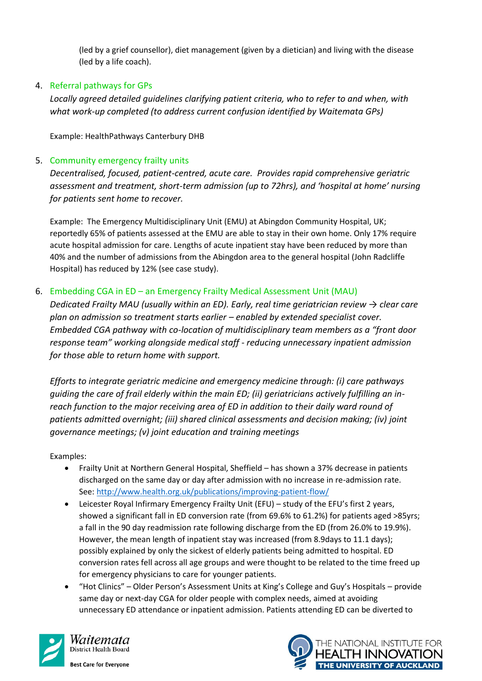(led by a grief counsellor), diet management (given by a dietician) and living with the disease (led by a life coach).

# 4. Referral pathways for GPs

*Locally agreed detailed guidelines clarifying patient criteria, who to refer to and when, with what work-up completed (to address current confusion identified by Waitemata GPs)*

Example: HealthPathways Canterbury DHB

## 5. Community emergency frailty units

*Decentralised, focused, patient-centred, acute care. Provides rapid comprehensive geriatric assessment and treatment, short-term admission (up to 72hrs), and 'hospital at home' nursing for patients sent home to recover.*

Example: The Emergency Multidisciplinary Unit (EMU) at Abingdon Community Hospital, UK; reportedly 65% of patients assessed at the EMU are able to stay in their own home. Only 17% require acute hospital admission for care. Lengths of acute inpatient stay have been reduced by more than 40% and the number of admissions from the Abingdon area to the general hospital (John Radcliffe Hospital) has reduced by 12% (see case study).

# 6. Embedding CGA in ED – an Emergency Frailty Medical Assessment Unit (MAU)

*Dedicated Frailty MAU (usually within an ED). Early, real time geriatrician review → clear care plan on admission so treatment starts earlier – enabled by extended specialist cover. Embedded CGA pathway with co-location of multidisciplinary team members as a "front door response team" working alongside medical staff - reducing unnecessary inpatient admission for those able to return home with support.*

*Efforts to integrate geriatric medicine and emergency medicine through: (i) care pathways guiding the care of frail elderly within the main ED; (ii) geriatricians actively fulfilling an inreach function to the major receiving area of ED in addition to their daily ward round of patients admitted overnight; (iii) shared clinical assessments and decision making; (iv) joint governance meetings; (v) joint education and training meetings* 

- Frailty Unit at Northern General Hospital, Sheffield has shown a 37% decrease in patients discharged on the same day or day after admission with no increase in re-admission rate. See:<http://www.health.org.uk/publications/improving-patient-flow/>
- Leicester Royal Infirmary Emergency Frailty Unit (EFU) study of the EFU's first 2 years, showed a significant fall in ED conversion rate (from 69.6% to 61.2%) for patients aged >85yrs; a fall in the 90 day readmission rate following discharge from the ED (from 26.0% to 19.9%). However, the mean length of inpatient stay was increased (from 8.9days to 11.1 days); possibly explained by only the sickest of elderly patients being admitted to hospital. ED conversion rates fell across all age groups and were thought to be related to the time freed up for emergency physicians to care for younger patients.
- "Hot Clinics" Older Person's Assessment Units at King's College and Guy's Hospitals provide same day or next-day CGA for older people with complex needs, aimed at avoiding unnecessary ED attendance or inpatient admission. Patients attending ED can be diverted to



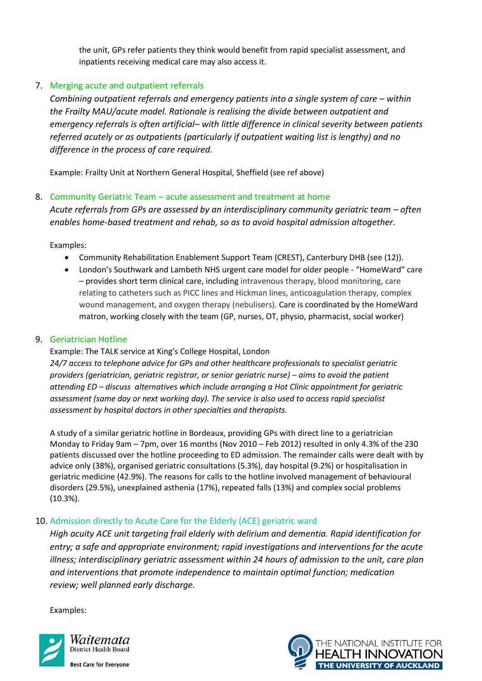the unit, GPs refer patients they think would benefit from rapid specialist assessment, and inpatients receiving medical care may also access it.

# 7. Merging acute and outpatient referrals

*Combining outpatient referrals and emergency patients into a single system of care – within the Frailty MAU/acute model. Rationale is realising the divide between outpatient and emergency referrals is often artificial– with little difference in clinical severity between patients referred acutely or as outpatients (particularly if outpatient waiting list is lengthy) and no difference in the process of care required.*

Example: Frailty Unit at Northern General Hospital, Sheffield (see ref above)

#### 8. Community Geriatric Team – acute assessment and treatment at home

Acute referrals from GPs are assessed by an interdisciplinary community geriatric team – often *enables home-based treatment and rehab, so as to avoid hospital admission altogether.*

Examples:

- Community Rehabilitation Enablement Support Team (CREST), Canterbury DHB (see (12)).
- London's Southwark and Lambeth NHS urgent care model for older people "HomeWard" care – provides short term clinical care, including intravenous therapy, blood monitoring, care relating to catheters such as PICC lines and Hickman lines, anticoagulation therapy, complex wound management, and oxygen therapy (nebulisers). Care is coordinated by the HomeWard matron, working closely with the team (GP, nurses, OT, physio, pharmacist, social worker)

#### 9. Geriatrician Hotline

Example: The TALK service at King's College Hospital, London *24/7 access to telephone advice for GPs and other healthcare professionals to specialist geriatric providers (geriatrician, geriatric registrar, or senior geriatric nurse) – aims to avoid the patient attending ED – discuss alternatives which include arranging a Hot Clinic appointment for geriatric assessment (same day or next working day). The service is also used to access rapid specialist assessment by hospital doctors in other specialties and therapists.* 

A study of a similar geriatric hotline in Bordeaux, providing GPs with direct line to a geriatrician Monday to Friday 9am – 7pm, over 16 months (Nov 2010 – Feb 2012) resulted in only 4.3% of the 230 patients discussed over the hotline proceeding to ED admission. The remainder calls were dealt with by advice only (38%), organised geriatric consultations (5.3%), day hospital (9.2%) or hospitalisation in geriatric medicine (42.9%). The reasons for calls to the hotline involved management of behavioural disorders (29.5%), unexplained asthenia (17%), repeated falls (13%) and complex social problems (10.3%).

## 10. Admission directly to Acute Care for the Elderly (ACE) geriatric ward

*High acuity ACE unit targeting frail elderly with delirium and dementia. Rapid identification for entry; a safe and appropriate environment; rapid investigations and interventions for the acute illness; interdisciplinary geriatric assessment within 24 hours of admission to the unit, care plan and interventions that promote independence to maintain optimal function; medication review; well planned early discharge.* 



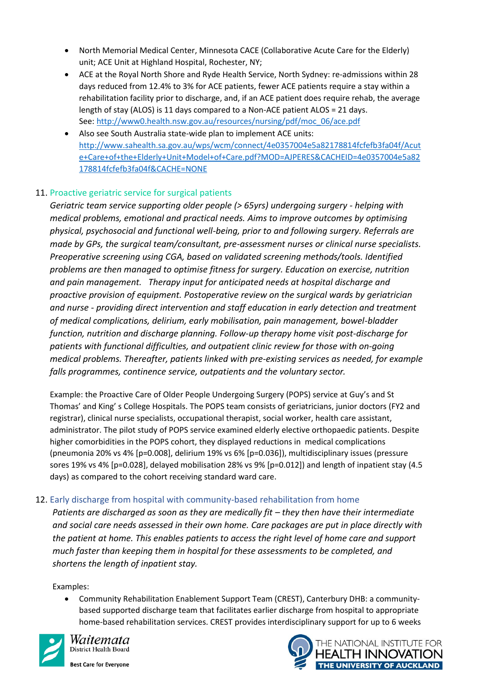- North Memorial Medical Center, Minnesota CACE (Collaborative Acute Care for the Elderly) unit; ACE Unit at Highland Hospital, Rochester, NY;
- ACE at the Royal North Shore and Ryde Health Service, North Sydney: re-admissions within 28 days reduced from 12.4% to 3% for ACE patients, fewer ACE patients require a stay within a rehabilitation facility prior to discharge, and, if an ACE patient does require rehab, the average length of stay (ALOS) is 11 days compared to a Non-ACE patient ALOS = 21 days. See: [http://www0.health.nsw.gov.au/resources/nursing/pdf/moc\\_06/ace.pdf](http://www0.health.nsw.gov.au/resources/nursing/pdf/moc_06/ace.pdf)
- Also see South Australia state-wide plan to implement ACE units: [http://www.sahealth.sa.gov.au/wps/wcm/connect/4e0357004e5a82178814fcfefb3fa04f/Acut](http://www.sahealth.sa.gov.au/wps/wcm/connect/4e0357004e5a82178814fcfefb3fa04f/Acute+Care+of+the+Elderly+Unit+Model+of+Care.pdf?MOD=AJPERES&CACHEID=4e0357004e5a82178814fcfefb3fa04f&CACHE=NONE) [e+Care+of+the+Elderly+Unit+Model+of+Care.pdf?MOD=AJPERES&CACHEID=4e0357004e5a82](http://www.sahealth.sa.gov.au/wps/wcm/connect/4e0357004e5a82178814fcfefb3fa04f/Acute+Care+of+the+Elderly+Unit+Model+of+Care.pdf?MOD=AJPERES&CACHEID=4e0357004e5a82178814fcfefb3fa04f&CACHE=NONE) [178814fcfefb3fa04f&CACHE=NONE](http://www.sahealth.sa.gov.au/wps/wcm/connect/4e0357004e5a82178814fcfefb3fa04f/Acute+Care+of+the+Elderly+Unit+Model+of+Care.pdf?MOD=AJPERES&CACHEID=4e0357004e5a82178814fcfefb3fa04f&CACHE=NONE)

# 11. Proactive geriatric service for surgical patients

*Geriatric team service supporting older people (> 65yrs) undergoing surgery - helping with medical problems, emotional and practical needs. Aims to improve outcomes by optimising physical, psychosocial and functional well-being, prior to and following surgery. Referrals are made by GPs, the surgical team/consultant, pre-assessment nurses or clinical nurse specialists. Preoperative screening using CGA, based on validated screening methods/tools. Identified problems are then managed to optimise fitness for surgery. Education on exercise, nutrition and pain management. Therapy input for anticipated needs at hospital discharge and proactive provision of equipment. Postoperative review on the surgical wards by geriatrician and nurse - providing direct intervention and staff education in early detection and treatment of medical complications, delirium, early mobilisation, pain management, bowel-bladder function, nutrition and discharge planning. Follow-up therapy home visit post-discharge for patients with functional difficulties, and outpatient clinic review for those with on-going medical problems. Thereafter, patients linked with pre-existing services as needed, for example falls programmes, continence service, outpatients and the voluntary sector.*

Example: the Proactive Care of Older People Undergoing Surgery (POPS) service at Guy's and St Thomas' and King' s College Hospitals. The POPS team consists of geriatricians, junior doctors (FY2 and registrar), clinical nurse specialists, occupational therapist, social worker, health care assistant, administrator. The pilot study of POPS service examined elderly elective orthopaedic patients. Despite higher comorbidities in the POPS cohort, they displayed reductions in medical complications (pneumonia 20% vs 4% [p=0.008], delirium 19% vs 6% [p=0.036]), multidisciplinary issues (pressure sores 19% vs 4% [p=0.028], delayed mobilisation 28% vs 9% [p=0.012]) and length of inpatient stay (4.5 days) as compared to the cohort receiving standard ward care.

## 12. Early discharge from hospital with community-based rehabilitation from home

*Patients are discharged as soon as they are medically fit – they then have their intermediate and social care needs assessed in their own home. Care packages are put in place directly with the patient at home. This enables patients to access the right level of home care and support much faster than keeping them in hospital for these assessments to be completed, and shortens the length of inpatient stay.*

Examples:

 Community Rehabilitation Enablement Support Team (CREST), Canterbury DHB: a communitybased supported discharge team that facilitates earlier discharge from hospital to appropriate home-based rehabilitation services. CREST provides interdisciplinary support for up to 6 weeks



Waitemata District Health Board

**Best Care for Everyone**